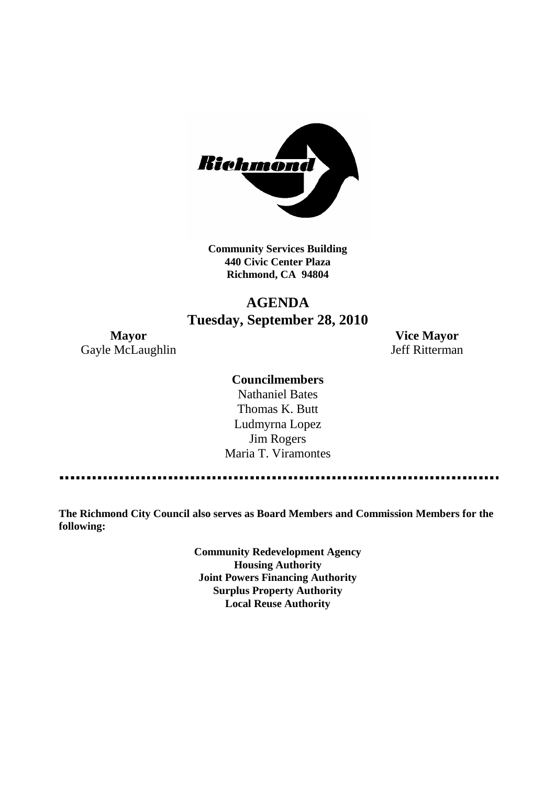

**Community Services Building 440 Civic Center Plaza Richmond, CA 94804**

# **AGENDA Tuesday, September 28, 2010**

**Mayor Vice Mayor** Gayle McLaughlin Jeff Ritterman

## **Councilmembers**

Nathaniel Bates Thomas K. Butt Ludmyrna Lopez Jim Rogers Maria T. Viramontes

**The Richmond City Council also serves as Board Members and Commission Members for the following:**

> **Community Redevelopment Agency Housing Authority Joint Powers Financing Authority Surplus Property Authority Local Reuse Authority**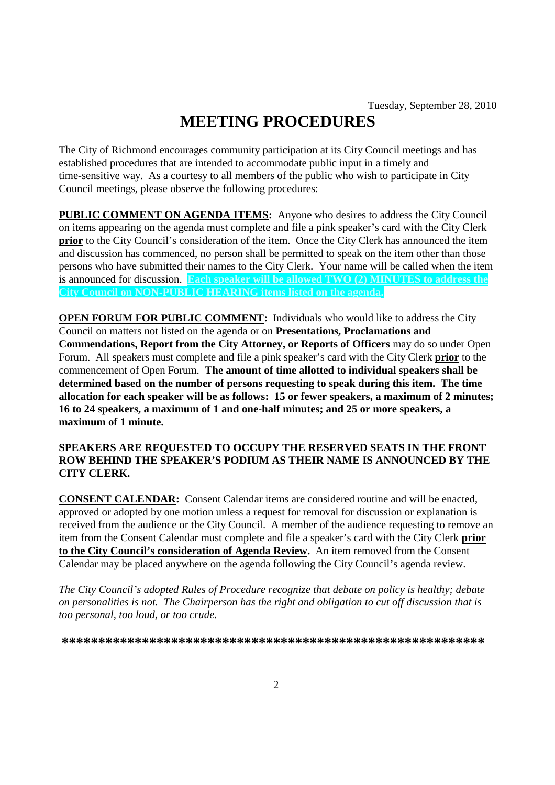# **MEETING PROCEDURES**

The City of Richmond encourages community participation at its City Council meetings and has established procedures that are intended to accommodate public input in a timely and time-sensitive way. As a courtesy to all members of the public who wish to participate in City Council meetings, please observe the following procedures:

**PUBLIC COMMENT ON AGENDA ITEMS:** Anyone who desires to address the City Council on items appearing on the agenda must complete and file a pink speaker's card with the City Clerk **prior** to the City Council's consideration of the item. Once the City Clerk has announced the item and discussion has commenced, no person shall be permitted to speak on the item other than those persons who have submitted their names to the City Clerk. Your name will be called when the item is announced for discussion. **Each speaker will be allowed TWO (2) MINUTES to address the City Council on NON-PUBLIC HEARING items listed on the agenda.**

**OPEN FORUM FOR PUBLIC COMMENT:** Individuals who would like to address the City Council on matters not listed on the agenda or on **Presentations, Proclamations and Commendations, Report from the City Attorney, or Reports of Officers** may do so under Open Forum. All speakers must complete and file a pink speaker's card with the City Clerk **prior** to the commencement of Open Forum. **The amount of time allotted to individual speakers shall be determined based on the number of persons requesting to speak during this item. The time allocation for each speaker will be as follows: 15 or fewer speakers, a maximum of 2 minutes; 16 to 24 speakers, a maximum of 1 and one-half minutes; and 25 or more speakers, a maximum of 1 minute.**

#### **SPEAKERS ARE REQUESTED TO OCCUPY THE RESERVED SEATS IN THE FRONT ROW BEHIND THE SPEAKER'S PODIUM AS THEIR NAME IS ANNOUNCED BY THE CITY CLERK.**

**CONSENT CALENDAR:** Consent Calendar items are considered routine and will be enacted, approved or adopted by one motion unless a request for removal for discussion or explanation is received from the audience or the City Council. A member of the audience requesting to remove an item from the Consent Calendar must complete and file a speaker's card with the City Clerk **prior to the City Council's consideration of Agenda Review.** An item removed from the Consent Calendar may be placed anywhere on the agenda following the City Council's agenda review.

*The City Council's adopted Rules of Procedure recognize that debate on policy is healthy; debate on personalities is not. The Chairperson has the right and obligation to cut off discussion that is too personal, too loud, or too crude.*

**\*\*\*\*\*\*\*\*\*\*\*\*\*\*\*\*\*\*\*\*\*\*\*\*\*\*\*\*\*\*\*\*\*\*\*\*\*\*\*\*\*\*\*\*\*\*\*\*\*\*\*\*\*\*\*\*\*\***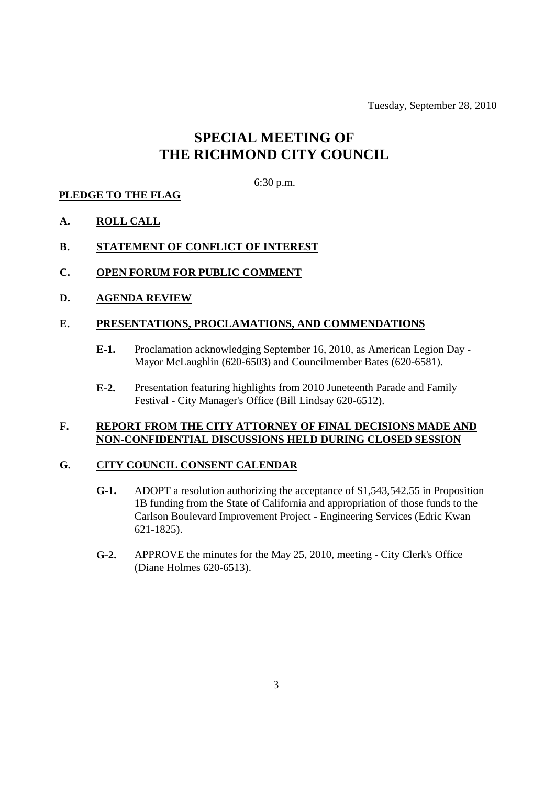Tuesday, September 28, 2010

# **SPECIAL MEETING OF THE RICHMOND CITY COUNCIL**

#### 6:30 p.m.

#### **PLEDGE TO THE FLAG**

**A. ROLL CALL**

#### **B. STATEMENT OF CONFLICT OF INTEREST**

- **C. OPEN FORUM FOR PUBLIC COMMENT**
- **D. AGENDA REVIEW**

#### **E. PRESENTATIONS, PROCLAMATIONS, AND COMMENDATIONS**

- **E-1.** Proclamation acknowledging September 16, 2010, as American Legion Day Mayor McLaughlin (620-6503) and Councilmember Bates (620-6581).
- **E-2.** Presentation featuring highlights from 2010 Juneteenth Parade and Family Festival - City Manager's Office (Bill Lindsay 620-6512).

### **F. REPORT FROM THE CITY ATTORNEY OF FINAL DECISIONS MADE AND NON-CONFIDENTIAL DISCUSSIONS HELD DURING CLOSED SESSION**

#### **G. CITY COUNCIL CONSENT CALENDAR**

- **G-1.** ADOPT a resolution authorizing the acceptance of \$1,543,542.55 in Proposition 1B funding from the State of California and appropriation of those funds to the Carlson Boulevard Improvement Project - Engineering Services (Edric Kwan 621-1825).
- **G-2.** APPROVE the minutes for the May 25, 2010, meeting City Clerk's Office (Diane Holmes 620-6513).